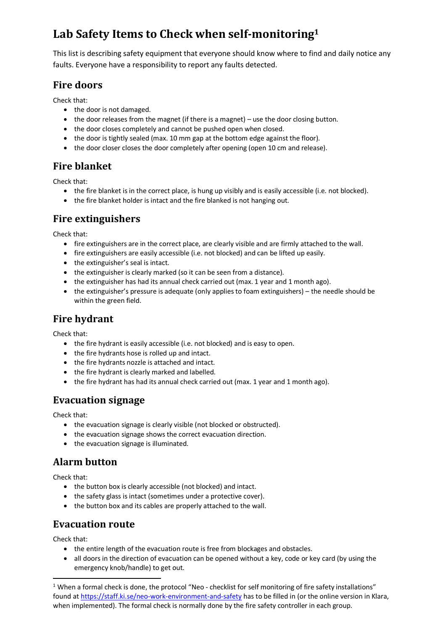# **Lab Safety Items to Check when self-monitoring<sup>1</sup>**

This list is describing safety equipment that everyone should know where to find and daily notice any faults. Everyone have a responsibility to report any faults detected.

#### **Fire doors**

Check that:

- the door is not damaged.
- the door releases from the magnet (if there is a magnet) use the door closing button.
- the door closes completely and cannot be pushed open when closed.
- the door is tightly sealed (max. 10 mm gap at the bottom edge against the floor).
- the door closer closes the door completely after opening (open 10 cm and release).

## **Fire blanket**

Check that:

- the fire blanket is in the correct place, is hung up visibly and is easily accessible (i.e. not blocked).
- the fire blanket holder is intact and the fire blanked is not hanging out.

#### **Fire extinguishers**

Check that:

- fire extinguishers are in the correct place, are clearly visible and are firmly attached to the wall.
- fire extinguishers are easily accessible (i.e. not blocked) and can be lifted up easily.
- the extinguisher's seal is intact.
- the extinguisher is clearly marked (so it can be seen from a distance).
- the extinguisher has had its annual check carried out (max. 1 year and 1 month ago).
- the extinguisher's pressure is adequate (only applies to foam extinguishers) the needle should be within the green field.

## **Fire hydrant**

Check that:

- the fire hydrant is easily accessible (i.e. not blocked) and is easy to open.
- the fire hydrants hose is rolled up and intact.
- the fire hydrants nozzle is attached and intact.
- the fire hydrant is clearly marked and labelled.
- the fire hydrant has had its annual check carried out (max. 1 year and 1 month ago).

## **Evacuation signage**

Check that:

- the evacuation signage is clearly visible (not blocked or obstructed).
- the evacuation signage shows the correct evacuation direction.
- the evacuation signage is illuminated.

## **Alarm button**

Check that:

- the button box is clearly accessible (not blocked) and intact.
- the safety glass is intact (sometimes under a protective cover).
- the button box and its cables are properly attached to the wall.

#### **Evacuation route**

Check that:

- the entire length of the evacuation route is free from blockages and obstacles.
- all doors in the direction of evacuation can be opened without a key, code or key card (by using the emergency knob/handle) to get out.

 $1$  When a formal check is done, the protocol "Neo - checklist for self monitoring of fire safety installations" found a[t https://staff.ki.se/neo-work-environment-and-safety](https://staff.ki.se/neo-work-environment-and-safety) has to be filled in (or the online version in Klara, when implemented). The formal check is normally done by the fire safety controller in each group.